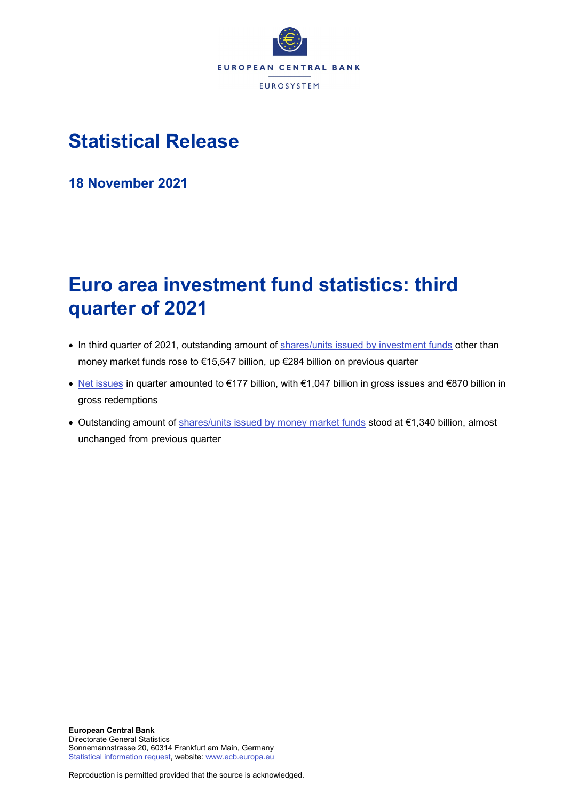

# **Statistical Release**

**18 November 2021**

# **Euro area investment fund statistics: third quarter of 2021**

- In third quarter of 2021, outstanding amount of [shares/units issued by investment funds](http://sdw.ecb.europa.eu/browseTable.do?node=SEARCHRESULTS&type=series&SERIES_KEY=225.IVF.Q.U2.N.T0.L30.A.1.Z5.0000.Z01.E&start=&end=&trans=VC&q=IVF.Q.U2.N.T0.L30.A.1.Z5.0000.Z01.E&type=series&submitOptions.x=0&submitOptions.y=0) other than money market funds rose to €15,547 billion, up €284 billion on previous quarter
- [Net issues](https://sdw.ecb.europa.eu/browseSelection.do?type=series&q=IVF.Q.U2.N.T0.L30.A.0.Z5.0000.Z01.E%2c+IVF.Q.U2.N.T0.L30.A.2.Z5.0000.Z01.E%2c+IVF.Q.U2.N.T0.L30.A.3.Z5.0000.Z01.E&node=SEARCHRESULTS&ec=&oc=&rc=&cv=&pb=&dc=&df=) in quarter amounted to €177 billion, with €1,047 billion in gross issues and €870 billion in gross redemptions
- Outstanding amount of [shares/units issued by money market funds](http://sdw.ecb.europa.eu/browseTable.do?node=SEARCHRESULTS&type=series&start=&end=&submitOptions.x=0&submitOptions.y=0&trans=VC&q=BSI.Q.U2.N.F.L30.A.1.Z5.0000.Z01.E&type=series) stood at €1,340 billion, almost unchanged from previous quarter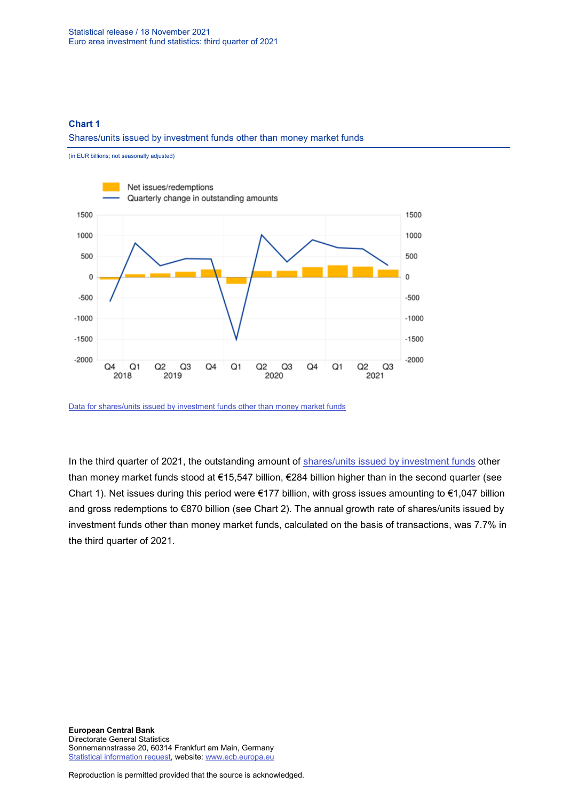### **Chart 1**

#### Shares/units issued by investment funds other than money market funds



[Data for shares/units issued by investment funds other than money market funds](https://sdw.ecb.europa.eu/browseSelection.do?type=series&q=IVF.Q.U2.N.T0.L30.A.0.Z5.0000.Z01.E+IVF.Q.U2.N.T0.L30.A.1.Z5.0000.Z01.E&node=SEARCHRESULTS&ec=&oc=&rc=&cv=&pb=&dc=&df=)

In the third quarter of 2021, the outstanding amount of [shares/units issued by investment funds](https://sdw.ecb.europa.eu/browseSelection.do?type=series&q=IVF.Q.U2.N.T0.L30.A.2.Z5.0000.Z01.E%2c+IVF.Q.U2.N.T0.L30.A.3.Z5.0000.Z01.E%2c+IVF.Q.U2.N.T0.L30.A.0.Z5.0000.Z01.E%2c+IVF.Q.U2.N.T0.L30.A.1.Z5.0000.Z01.E%2c+IVF.Q.U2.N.T0.L30.A.I.Z5.0000.Z01.A&node=SEARCHRESULTS&ec=&oc=&rc=&cv=&pb=&dc=&df=) other than money market funds stood at €15,547 billion, €284 billion higher than in the second quarter (see Chart 1). Net issues during this period were €177 billion, with gross issues amounting to €1,047 billion and gross redemptions to €870 billion (see Chart 2). The annual growth rate of shares/units issued by investment funds other than money market funds, calculated on the basis of transactions, was 7.7% in the third quarter of 2021.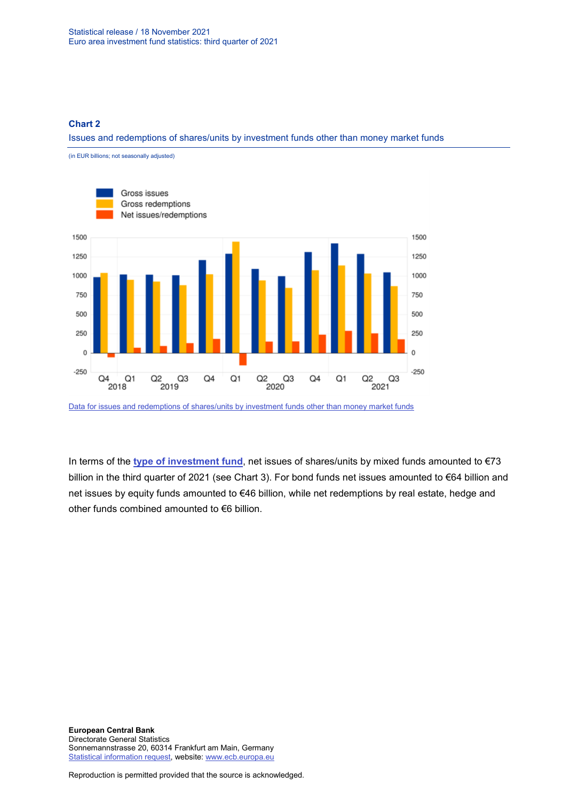#### **Chart 2**

Issues and redemptions of shares/units by investment funds other than money market funds



[Data for issues and redemptions of shares/units by investment funds other than money market funds](https://sdw.ecb.europa.eu/browseSelection.do?type=series&q=IVF.Q.U2.N.T0.L30.A.2.Z5.0000.Z01.E%2c+IVF.Q.U2.N.T0.L30.A.3.Z5.0000.Z01.E%2c+IVF.Q.U2.N.T0.L30.A.0.Z5.0000.Z01.E&node=SEARCHRESULTS&ec=&oc=&rc=&cv=&pb=&dc=&df=)

In terms of the **[type of investment fund](https://sdw.ecb.europa.eu/browseSelection.do?type=series&q=IVF.Q.U2.N.10.L30.A.0.Z5.0000.Z01.E+IVF.Q.U2.N.20.L30.A.0.Z5.0000.Z01.E+IVF.Q.U2.N.30.L30.A.0.Z5.0000.Z01.E+IVF.Q.U2.N.40.L30.A.0.Z5.0000.Z01.E+IVF.Q.U2.N.50.L30.A.0.Z5.0000.Z01.E+IVF.Q.U2.N.60.L30.A.0.Z5.0000.Z01.E&node=SEARCHRESULTS&ec=&oc=&rc=&cv=&pb=&dc=&df=)**, net issues of shares/units by mixed funds amounted to €73 billion in the third quarter of 2021 (see Chart 3). For bond funds net issues amounted to €64 billion and net issues by equity funds amounted to €46 billion, while net redemptions by real estate, hedge and other funds combined amounted to €6 billion.

**European Central Bank** Directorate General Statistics Sonnemannstrasse 20, 60314 Frankfurt am Main, Germany [Statistical information request,](https://ecb-registration.escb.eu/statistical-information) website: [www.ecb.europa.eu](http://www.ecb.europa.eu/)

Reproduction is permitted provided that the source is acknowledged.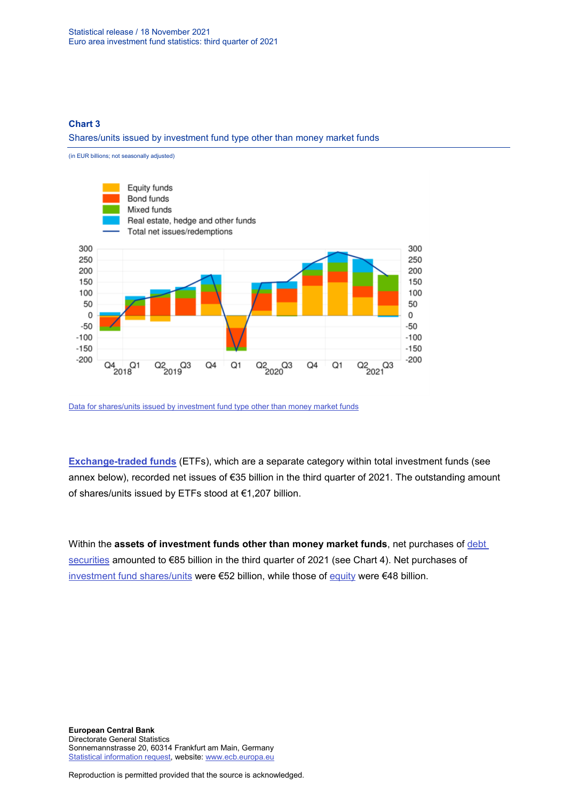#### **Chart 3**

Shares/units issued by investment fund type other than money market funds



**[Exchange-traded funds](https://sdw.ecb.europa.eu/browseSelection.do?type=series&q=IVF.Q.U2.N.TE.L30.A.2.Z5.0000.Z01.E%2c+IVF.Q.U2.N.TE.L30.A.3.Z5.0000.Z01.E%2c+IVF.Q.U2.N.TE.L30.A.1.Z5.0000.Z01.E+&node=SEARCHRESULTS&ec=&oc=&rc=&cv=&pb=&dc=&df=)** (ETFs), which are a separate category within total investment funds (see annex below), recorded net issues of €35 billion in the third quarter of 2021. The outstanding amount of shares/units issued by ETFs stood at €1,207 billion.

Within the **assets of investment funds other than money market funds**, net purchases of **debt** [securities](https://sdw.ecb.europa.eu/browseSelection.do?type=series&q=IVF.Q.U2.N.T0.A30.A.4.Z5.0000.Z01.E&node=SEARCHRESULTS&ec=&oc=&rc=&cv=&pb=&dc=&df=) amounted to €85 billion in the third quarter of 2021 (see Chart 4). Net purchases of [investment fund shares/units](https://sdw.ecb.europa.eu/browseSelection.do?type=series&q=IVF.Q.U2.N.T0.A52.A.4.Z5.0000.Z01.E&node=SEARCHRESULTS&ec=&oc=&rc=&cv=&pb=&dc=&df=) were €52 billion, while those of [equity](https://sdw.ecb.europa.eu/browseSelection.do?type=series&q=IVF.Q.U2.N.T0.A5A.A.4.Z5.0000.Z01.E&node=SEARCHRESULTS&ec=&oc=&rc=&cv=&pb=&dc=&df=) were €48 billion.

Reproduction is permitted provided that the source is acknowledged.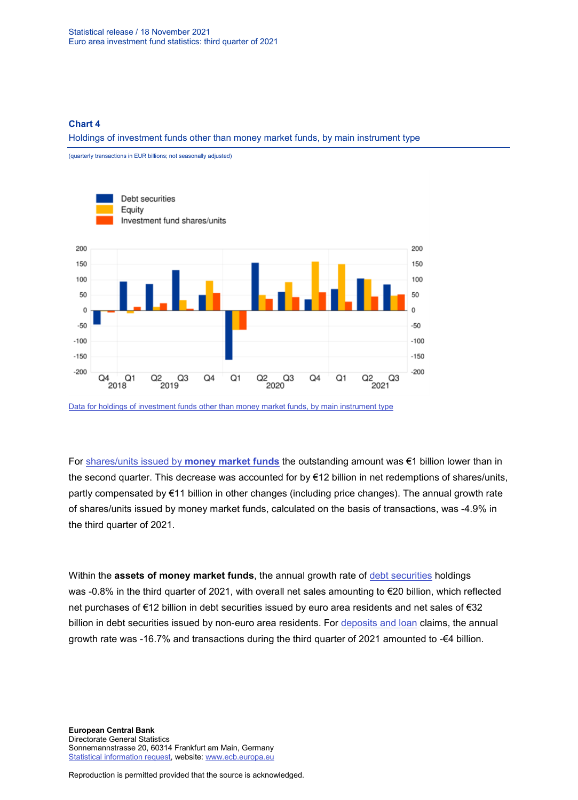(quarterly transactions in EUR billions; not seasonally adjusted)

#### **Chart 4**

Holdings of investment funds other than money market funds, by main instrument type



[Data for holdings of investment funds other than money market funds, by main instrument type](https://sdw.ecb.europa.eu/browseSelection.do?type=series&q=IVF.Q.U2.N.T0.A30.A.4.Z5.0000.Z01.E%2c+IVF.Q.U2.N.T0.A5A.A.4.Z5.0000.Z01.E%2c+IVF.Q.U2.N.T0.A52.A.4.Z5.0000.Z01.E++++&node=SEARCHRESULTS&ec=&oc=&rc=&cv=&pb=&dc=&df=)

For [shares/units issued by](https://sdw.ecb.europa.eu/browseSelection.do?type=series&q=BSI.Q.U2.N.F.L30.A.1.Z5.0000.Z01.E%2c+BSI.Q.U2.N.F.L30.A.4.Z5.0000.Z01.E%2c+BSI.Q.U2.N.F.L30.A.I.Z5.0000.Z01.A++&node=SEARCHRESULTS&ec=&oc=&rc=&cv=&pb=&dc=&df=) **money market funds** the outstanding amount was €1 billion lower than in the second quarter. This decrease was accounted for by €12 billion in net redemptions of shares/units, partly compensated by €11 billion in other changes (including price changes). The annual growth rate of shares/units issued by money market funds, calculated on the basis of transactions, was -4.9% in the third quarter of 2021.

Within the **assets of money market funds**, the annual growth rate of [debt securities](http://sdw.ecb.europa.eu/browseSelection.do?type=series&q=BSI.Q.U2.N.F.A30.A.1.U4.0000.Z01.E%2c+BSI.Q.U2.N.F.A30.A.4.U4.0000.Z01.E%2c+BSI.Q.U2.N.F.A30.A.1.U2.0000.Z01.E%2c+BSI.Q.U2.N.F.A30.A.4.U2.0000.Z01.E%2c+BSI.Q.U2.N.F.A30.A.I.U2.0000.Z01.A%2c+BSI.Q.U2.N.F.A30.A.I.U4.0000.Z01.A%2c+BSI.Q.U2.N.F.A30.A.1.Z5.0000.Z01.E%2c+BSI.Q.U2.N.F.A30.A.4.Z5.0000.Z01.E%2c+BSI.Q.U2.N.F.A30.A.I.Z5.0000.Z01.A++&node=SEARCHRESULTS&ec=&oc=&rc=&cv=&pb=&dc=&df=) holdings was -0.8% in the third quarter of 2021, with overall net sales amounting to €20 billion, which reflected net purchases of €12 billion in debt securities issued by euro area residents and net sales of €32 billion in debt securities issued by non-euro area residents. For [deposits and loan](http://sdw.ecb.europa.eu/browseSelection.do?type=series&q=BSI.Q.U2.N.F.A20.A.1.Z5.0000.Z01.E%2c+BSI.Q.U2.N.F.A20.A.4.Z5.0000.Z01.E%2c+BSI.Q.U2.N.F.A20.A.I.Z5.0000.Z01.A&node=SEARCHRESULTS&ec=&oc=&rc=&cv=&pb=&dc=&df=) claims, the annual growth rate was -16.7% and transactions during the third quarter of 2021 amounted to -€4 billion.

**European Central Bank** Directorate General Statistics Sonnemannstrasse 20, 60314 Frankfurt am Main, Germany [Statistical information request,](https://ecb-registration.escb.eu/statistical-information) website: [www.ecb.europa.eu](http://www.ecb.europa.eu/)